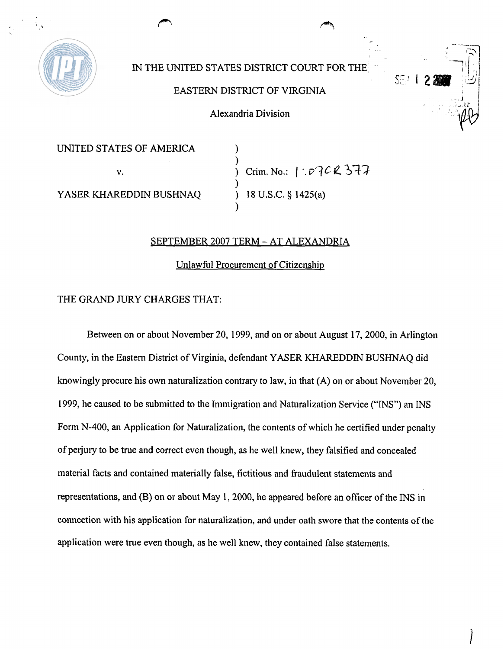

## IN THE UNITED STATES DISTRICT COURT FOR THE

## EASTERN DISTRICT OF VIRGINIA

Alexandria Division

UNITED STATES OF AMERICA 1

 $)$ v.  $\overrightarrow{v}$  **Crim. No.:** 1 .  $\overrightarrow{v}$  **example**  $\overrightarrow{v}$ ) YASER KHAREDDIN BUSHNAQ ) 18 U.S.C. **g** 1425(a)  $\mathbf{I}$ 

SF2.

## SEPTEMBER 2007 TERM - AT ALEXANDRIA

Unlawfbl Procurement of Citizenship

## THE GRAND JURY CHARGES THAT:

Between on or about November 20,1999, and on or about August 17,2000, in Arlington County, in the Eastern District of Virginia, defendant YASER KHAREDDIN BUSHNAQ did knowingly procure his own naturalization contrary to law, in that (A) on or about November 20, 1999, he caused to be submitted to the Immigration and Naturalization Service ("INS") an INS Form N-400, an Application for Naturalization, the contents of which he certified under penalty of perjury to be true and correct even though, as he well knew, they falsified and concealed material facts and contained materially false, fictitious and fraudulent statements and representations, and (B) on or about May 1,2000, he appeared before an officer of the INS in connection with his application for naturalization, and under oath swore that the contents of the application were true even though, as he well knew, they contained false statements.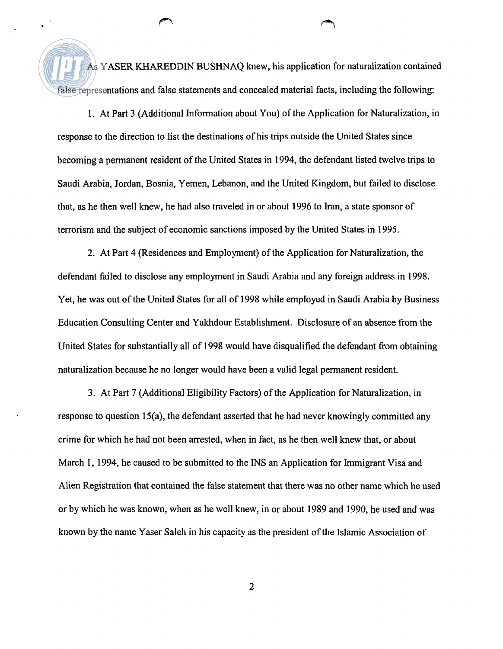As YASER KHAREDDIN BUSHNAQ knew, his application for naturalization contained false representations and false statements and concealed material facts, including the following:

1. At Part **3** (Additional Information about You) of the Application for Naturalization, in response to the direction to list the destinations of his trips outside the United States since becoming a permanent resident of the United States in 1994, the defendant listed twelve trips to Saudi Arabia, Jordan, Bosnia, Yemen, Lebanon, and the United Kingdom, but failed to disclose that, as he then well knew, he had also traveled in or about 1996 to Iran, a state sponsor of terrorism and the subject of economic sanctions imposed by the United States in 1995.

2. At Part 4 (Residences and Employment) of the Application for Naturalization, the defendant failed to disclose any employment in Saudi Arabia and any foreign address in 1998. Yet, he was out of the United States for all of 1998 while employed in Saudi Arabia by Business Education Consulting Center and Yakhdour Establishment. Disclosure of an absence from the United States for substantially all of 1998 would have disqualified the defendant from obtaining naturalization because he no longer would have been a valid legal permanent resident.

**3.** At Part 7 (Additional Eligibility Factors) of the Application for Naturalization, in response to question 15(a), the defendant asserted that he had never knowingly committed any crime for which he had not been arrested, when in fact, as he then well knew that, or about March 1, 1994, he caused to be submitted to the INS an Application for Immigrant Visa and Alien Registration that contained the false statement that there was no other name which he used or by which he was known, when as he well knew, in or about 1989 and 1990, he used and was known by the name Yaser Saleh in his capacity as the president of the Islamic Association of

 $\overline{2}$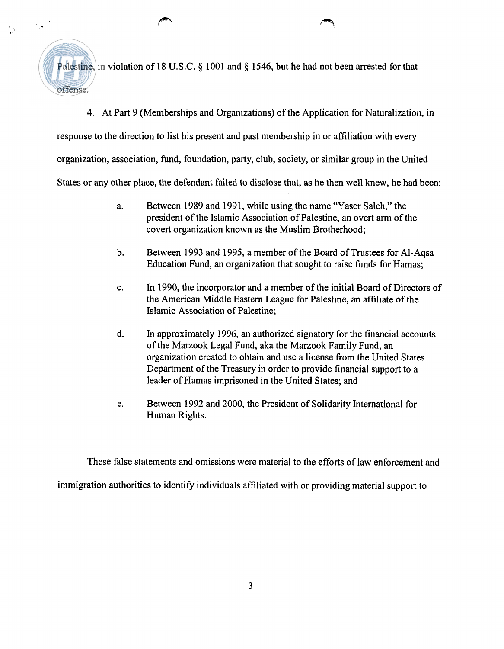offense.

 $\mathcal{L}_{\mathcal{A}}$ 

Palestine, in violation of 18 U.S.C. § 1001 and § 1546, but he had not been arrested for that

4. At Part 9 (Memberships and Organizations) of the Application for Naturalization, in

response to the direction to list his present and past membership in or affiliation with every

organization, association, fund, foundation, party, club, society, or similar group in the United

States or any other place, the defendant failed to disclose that, as he then well knew, he had been:

- a. Between 1989 and 1991, while using the name "Yaser Saleh," the president of the Islamic Association of Palestine, an overt arm of the covert organization known as the Muslim Brotherhood;
- b. Between 1993 and 1995, a member of the Board of Trustees for Al-Aqsa Education Fund, an organization that sought to raise funds for Hamas;
- c. In 1990, the incorporator and a member of the initial Board of Directors of the American Middle Eastern League for Palestine, an affiliate of the Islamic Association of Palestine;
- d. In approximately 1996, an authorized signatory for the financial accounts of the Marzook Legal Fund, aka the Marzook Family Fund, an organization created to obtain and use a license from the United States Department of the Treasury in order to provide financial support to a leader of Hamas imprisoned in the United States; and
- e. Between 1992 and 2000, the President of Solidarity International for Human Rights.

These false statements and omissions were material to the efforts of law enforcement and

immigration authorities to identify individuals affiliated with or providing material support to